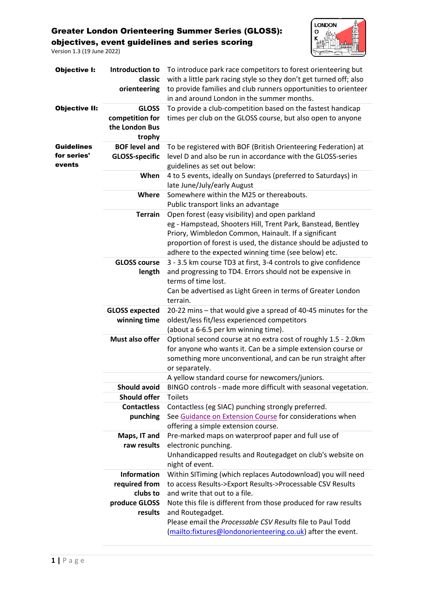Version 1.3 (19 June 2022)



| <b>Objective I:</b>                        | Introduction to<br>classic<br>orienteering                  | To introduce park race competitors to forest orienteering but<br>with a little park racing style so they don't get turned off; also<br>to provide families and club runners opportunities to orienteer<br>in and around London in the summer months.                                                |
|--------------------------------------------|-------------------------------------------------------------|-----------------------------------------------------------------------------------------------------------------------------------------------------------------------------------------------------------------------------------------------------------------------------------------------------|
| <b>Objective II:</b>                       | <b>GLOSS</b><br>competition for<br>the London Bus<br>trophy | To provide a club-competition based on the fastest handicap<br>times per club on the GLOSS course, but also open to anyone                                                                                                                                                                          |
| <b>Guidelines</b><br>for series'<br>events | <b>BOF level and</b><br><b>GLOSS-specific</b>               | To be registered with BOF (British Orienteering Federation) at<br>level D and also be run in accordance with the GLOSS-series<br>guidelines as set out below:                                                                                                                                       |
|                                            | When                                                        | 4 to 5 events, ideally on Sundays (preferred to Saturdays) in<br>late June/July/early August                                                                                                                                                                                                        |
|                                            | Where                                                       | Somewhere within the M25 or thereabouts.<br>Public transport links an advantage                                                                                                                                                                                                                     |
|                                            | <b>Terrain</b>                                              | Open forest (easy visibility) and open parkland<br>eg - Hampstead, Shooters Hill, Trent Park, Banstead, Bentley<br>Priory, Wimbledon Common, Hainault. If a significant<br>proportion of forest is used, the distance should be adjusted to<br>adhere to the expected winning time (see below) etc. |
|                                            | <b>GLOSS course</b><br>length                               | 3 - 3.5 km course TD3 at first, 3-4 controls to give confidence<br>and progressing to TD4. Errors should not be expensive in<br>terms of time lost.<br>Can be advertised as Light Green in terms of Greater London<br>terrain.                                                                      |
|                                            | <b>GLOSS expected</b><br>winning time                       | 20-22 mins - that would give a spread of 40-45 minutes for the<br>oldest/less fit/less experienced competitors<br>(about a 6-6.5 per km winning time).                                                                                                                                              |
|                                            | Must also offer                                             | Optional second course at no extra cost of roughly 1.5 - 2.0km<br>for anyone who wants it. Can be a simple extension course or<br>something more unconventional, and can be run straight after<br>or separately.                                                                                    |
|                                            |                                                             | A yellow standard course for newcomers/juniors.                                                                                                                                                                                                                                                     |
|                                            | <b>Should avoid</b>                                         | BINGO controls - made more difficult with seasonal vegetation.                                                                                                                                                                                                                                      |
|                                            | <b>Should offer</b><br><b>Contactless</b>                   | <b>Toilets</b><br>Contactless (eg SIAC) punching strongly preferred.                                                                                                                                                                                                                                |
|                                            | punching                                                    | See Guidance on Extension Course for considerations when<br>offering a simple extension course.                                                                                                                                                                                                     |
|                                            | Maps, IT and<br>raw results                                 | Pre-marked maps on waterproof paper and full use of<br>electronic punching.<br>Unhandicapped results and Routegadget on club's website on<br>night of event.                                                                                                                                        |
|                                            | <b>Information</b><br>required from<br>clubs to             | Within SITiming (which replaces Autodownload) you will need<br>to access Results->Export Results->Processable CSV Results<br>and write that out to a file.                                                                                                                                          |
|                                            | produce GLOSS<br>results                                    | Note this file is different from those produced for raw results<br>and Routegadget.<br>Please email the Processable CSV Results file to Paul Todd<br>(mailto:fixtures@londonorienteering.co.uk) after the event.                                                                                    |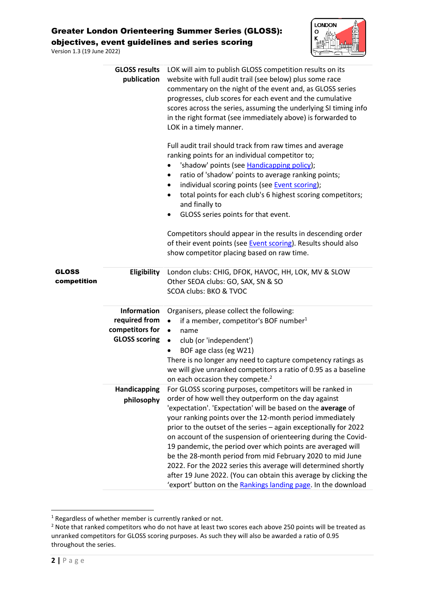Version 1.3 (19 June 2022)



|                      | <b>GLOSS results</b><br>publication                                            | LOK will aim to publish GLOSS competition results on its<br>website with full audit trail (see below) plus some race<br>commentary on the night of the event and, as GLOSS series<br>progresses, club scores for each event and the cumulative<br>scores across the series, assuming the underlying SI timing info<br>in the right format (see immediately above) is forwarded to<br>LOK in a timely manner.                                                                                                                                                                                                                                                                                                           |
|----------------------|--------------------------------------------------------------------------------|------------------------------------------------------------------------------------------------------------------------------------------------------------------------------------------------------------------------------------------------------------------------------------------------------------------------------------------------------------------------------------------------------------------------------------------------------------------------------------------------------------------------------------------------------------------------------------------------------------------------------------------------------------------------------------------------------------------------|
|                      |                                                                                | Full audit trail should track from raw times and average<br>ranking points for an individual competitor to;<br>'shadow' points (see Handicapping policy);<br>ratio of 'shadow' points to average ranking points;<br>٠<br>individual scoring points (see Event scoring);<br>٠<br>total points for each club's 6 highest scoring competitors;<br>and finally to<br>GLOSS series points for that event.                                                                                                                                                                                                                                                                                                                   |
|                      |                                                                                | Competitors should appear in the results in descending order<br>of their event points (see <b>Event scoring</b> ). Results should also<br>show competitor placing based on raw time.                                                                                                                                                                                                                                                                                                                                                                                                                                                                                                                                   |
| GLOSS<br>competition | Eligibility                                                                    | London clubs: CHIG, DFOK, HAVOC, HH, LOK, MV & SLOW<br>Other SEOA clubs: GO, SAX, SN & SO<br>SCOA clubs: BKO & TVOC                                                                                                                                                                                                                                                                                                                                                                                                                                                                                                                                                                                                    |
|                      | <b>Information</b><br>required from<br>competitors for<br><b>GLOSS scoring</b> | Organisers, please collect the following:<br>if a member, competitor's BOF number <sup>1</sup><br>$\bullet$<br>$\bullet$<br>name<br>club (or 'independent')<br>$\bullet$<br>BOF age class (eg W21)<br>There is no longer any need to capture competency ratings as<br>we will give unranked competitors a ratio of 0.95 as a baseline<br>on each occasion they compete. <sup>2</sup>                                                                                                                                                                                                                                                                                                                                   |
|                      | Handicapping<br>philosophy                                                     | For GLOSS scoring purposes, competitors will be ranked in<br>order of how well they outperform on the day against<br>'expectation'. 'Expectation' will be based on the average of<br>your ranking points over the 12-month period immediately<br>prior to the outset of the series - again exceptionally for 2022<br>on account of the suspension of orienteering during the Covid-<br>19 pandemic, the period over which points are averaged will<br>be the 28-month period from mid February 2020 to mid June<br>2022. For the 2022 series this average will determined shortly<br>after 19 June 2022. (You can obtain this average by clicking the<br>'export' button on the Rankings landing page. In the download |

<span id="page-1-0"></span> $1$  Regardless of whether member is currently ranked or not.

<sup>&</sup>lt;sup>2</sup> Note that ranked competitors who do not have at least two scores each above 250 points will be treated as unranked competitors for GLOSS scoring purposes. As such they will also be awarded a ratio of 0.95 throughout the series.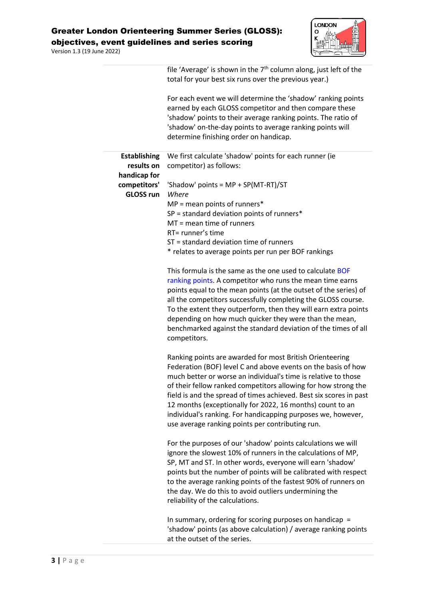Version 1.3 (19 June 2022)



|                                                  | file 'Average' is shown in the 7 <sup>th</sup> column along, just left of the<br>total for your best six runs over the previous year.)                                                                                                                                                                                                                                                                                                                                                                               |
|--------------------------------------------------|----------------------------------------------------------------------------------------------------------------------------------------------------------------------------------------------------------------------------------------------------------------------------------------------------------------------------------------------------------------------------------------------------------------------------------------------------------------------------------------------------------------------|
|                                                  | For each event we will determine the 'shadow' ranking points<br>earned by each GLOSS competitor and then compare these<br>'shadow' points to their average ranking points. The ratio of<br>'shadow' on-the-day points to average ranking points will<br>determine finishing order on handicap.                                                                                                                                                                                                                       |
| <b>Establishing</b><br>results on                | We first calculate 'shadow' points for each runner (ie<br>competitor) as follows:                                                                                                                                                                                                                                                                                                                                                                                                                                    |
| handicap for<br>competitors'<br><b>GLOSS run</b> | 'Shadow' points = MP + SP(MT-RT)/ST<br>Where                                                                                                                                                                                                                                                                                                                                                                                                                                                                         |
|                                                  | $MP = mean points of runners*$<br>$SP = standard deviation points of runners*$<br>$MT =$ mean time of runners<br>RT= runner's time                                                                                                                                                                                                                                                                                                                                                                                   |
|                                                  | ST = standard deviation time of runners<br>* relates to average points per run per BOF rankings                                                                                                                                                                                                                                                                                                                                                                                                                      |
|                                                  | This formula is the same as the one used to calculate BOF<br>ranking points. A competitor who runs the mean time earns<br>points equal to the mean points (at the outset of the series) of<br>all the competitors successfully completing the GLOSS course.<br>To the extent they outperform, then they will earn extra points<br>depending on how much quicker they were than the mean,<br>benchmarked against the standard deviation of the times of all<br>competitors.                                           |
|                                                  | Ranking points are awarded for most British Orienteering<br>Federation (BOF) level C and above events on the basis of how<br>much better or worse an individual's time is relative to those<br>of their fellow ranked competitors allowing for how strong the<br>field is and the spread of times achieved. Best six scores in past<br>12 months (exceptionally for 2022, 16 months) count to an<br>individual's ranking. For handicapping purposes we, however,<br>use average ranking points per contributing run. |
|                                                  | For the purposes of our 'shadow' points calculations we will<br>ignore the slowest 10% of runners in the calculations of MP,<br>SP, MT and ST. In other words, everyone will earn 'shadow'<br>points but the number of points will be calibrated with respect<br>to the average ranking points of the fastest 90% of runners on<br>the day. We do this to avoid outliers undermining the<br>reliability of the calculations.                                                                                         |
|                                                  | In summary, ordering for scoring purposes on handicap $=$                                                                                                                                                                                                                                                                                                                                                                                                                                                            |

'shadow' points (as above calculation) / average ranking points at the outset of the series.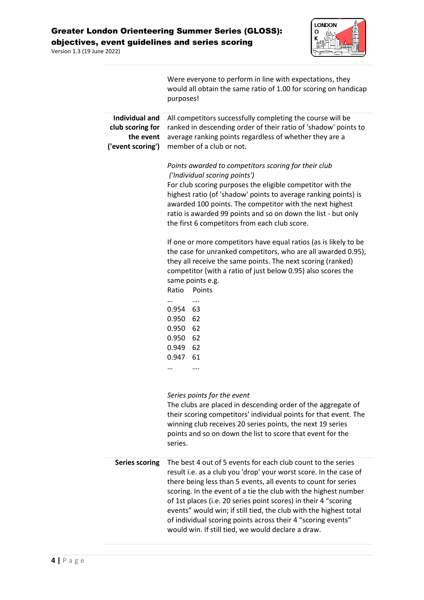



<span id="page-3-0"></span>

|                                                                             | Were everyone to perform in line with expectations, they<br>would all obtain the same ratio of 1.00 for scoring on handicap<br>purposes!                                                                                                                                                                                                                                                                                                                                                                                             |  |  |  |  |  |
|-----------------------------------------------------------------------------|--------------------------------------------------------------------------------------------------------------------------------------------------------------------------------------------------------------------------------------------------------------------------------------------------------------------------------------------------------------------------------------------------------------------------------------------------------------------------------------------------------------------------------------|--|--|--|--|--|
| <b>Individual and</b><br>club scoring for<br>the event<br>('event scoring') | All competitors successfully completing the course will be<br>ranked in descending order of their ratio of 'shadow' points to<br>average ranking points regardless of whether they are a<br>member of a club or not.                                                                                                                                                                                                                                                                                                                 |  |  |  |  |  |
|                                                                             | Points awarded to competitors scoring for their club<br>('Individual scoring points')<br>For club scoring purposes the eligible competitor with the<br>highest ratio (of 'shadow' points to average ranking points) is<br>awarded 100 points. The competitor with the next highest<br>ratio is awarded 99 points and so on down the list - but only<br>the first 6 competitors from each club score.                                                                                                                                 |  |  |  |  |  |
|                                                                             | If one or more competitors have equal ratios (as is likely to be<br>the case for unranked competitors, who are all awarded 0.95),<br>they all receive the same points. The next scoring (ranked)<br>competitor (with a ratio of just below 0.95) also scores the<br>same points e.g.<br>Points<br>Ratio                                                                                                                                                                                                                              |  |  |  |  |  |
|                                                                             | <br>0.954 63<br>0.950<br>62<br>0.950<br>62<br>62<br>0.950<br>0.949<br>62<br>0.947<br>61<br>$\cdots$                                                                                                                                                                                                                                                                                                                                                                                                                                  |  |  |  |  |  |
|                                                                             | Series points for the event<br>The clubs are placed in descending order of the aggregate of<br>their scoring competitors' individual points for that event. The<br>winning club receives 20 series points, the next 19 series<br>points and so on down the list to score that event for the<br>series.                                                                                                                                                                                                                               |  |  |  |  |  |
| <b>Series scoring</b>                                                       | The best 4 out of 5 events for each club count to the series<br>result i.e. as a club you 'drop' your worst score. In the case of<br>there being less than 5 events, all events to count for series<br>scoring. In the event of a tie the club with the highest number<br>of 1st places (i.e. 20 series point scores) in their 4 "scoring<br>events" would win; if still tied, the club with the highest total<br>of individual scoring points across their 4 "scoring events"<br>would win. If still tied, we would declare a draw. |  |  |  |  |  |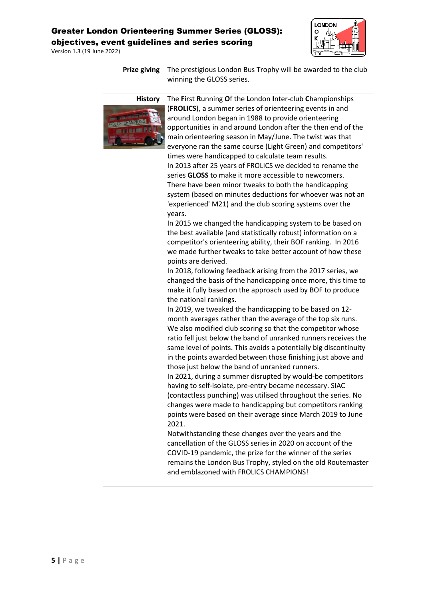Version 1.3 (19 June 2022)



**Prize giving** The prestigious London Bus Trophy will be awarded to the club winning the GLOSS series.



**History** The **F**irst **R**unning **O**f the **L**ondon **I**nter-club **C**hampionships (**FROLICS**), a summer series of orienteering events in and around London began in 1988 to provide orienteering opportunities in and around London after the then end of the main orienteering season in May/June. The twist was that everyone ran the same course (Light Green) and competitors' times were handicapped to calculate team results. In 2013 after 25 years of FROLICS we decided to rename the series **GLOSS** to make it more accessible to newcomers. There have been minor tweaks to both the handicapping system (based on minutes deductions for whoever was not an 'experienced' M21) and the club scoring systems over the years.

> In 2015 we changed the handicapping system to be based on the best available (and statistically robust) information on a competitor's orienteering ability, their BOF ranking. In 2016 we made further tweaks to take better account of how these points are derived.

In 2018, following feedback arising from the 2017 series, we changed the basis of the handicapping once more, this time to make it fully based on the approach used by BOF to produce the national rankings.

In 2019, we tweaked the handicapping to be based on 12 month averages rather than the average of the top six runs. We also modified club scoring so that the competitor whose ratio fell just below the band of unranked runners receives the same level of points. This avoids a potentially big discontinuity in the points awarded between those finishing just above and those just below the band of unranked runners.

In 2021, during a summer disrupted by would-be competitors having to self-isolate, pre-entry became necessary. SIAC (contactless punching) was utilised throughout the series. No changes were made to handicapping but competitors ranking points were based on their average since March 2019 to June 2021.

Notwithstanding these changes over the years and the cancellation of the GLOSS series in 2020 on account of the COVID-19 pandemic, the prize for the winner of the series remains the London Bus Trophy, styled on the old Routemaster and emblazoned with FROLICS CHAMPIONS!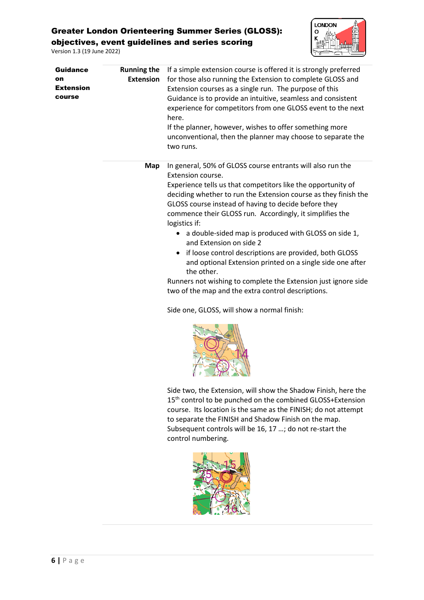Version 1.3 (19 June 2022)



| <b>Guidance</b><br>on<br><b>Extension</b><br>course | <b>Running the</b><br><b>Extension</b> | If a simple extension course is offered it is strongly preferred<br>for those also running the Extension to complete GLOSS and<br>Extension courses as a single run. The purpose of this<br>Guidance is to provide an intuitive, seamless and consistent<br>experience for competitors from one GLOSS event to the next<br>here.<br>If the planner, however, wishes to offer something more<br>unconventional, then the planner may choose to separate the<br>two runs.                                                                                                                                                                               |  |  |  |
|-----------------------------------------------------|----------------------------------------|-------------------------------------------------------------------------------------------------------------------------------------------------------------------------------------------------------------------------------------------------------------------------------------------------------------------------------------------------------------------------------------------------------------------------------------------------------------------------------------------------------------------------------------------------------------------------------------------------------------------------------------------------------|--|--|--|
|                                                     | Map                                    | In general, 50% of GLOSS course entrants will also run the<br>Extension course.<br>Experience tells us that competitors like the opportunity of<br>deciding whether to run the Extension course as they finish the<br>GLOSS course instead of having to decide before they<br>commence their GLOSS run. Accordingly, it simplifies the<br>logistics if:<br>• a double-sided map is produced with GLOSS on side 1,<br>and Extension on side 2<br>• if loose control descriptions are provided, both GLOSS<br>and optional Extension printed on a single side one after<br>the other.<br>Runners not wishing to complete the Extension just ignore side |  |  |  |
|                                                     |                                        | two of the map and the extra control descriptions.<br>Side one, GLOSS, will show a normal finish:<br>Side two, the Extension, will show the Shadow Finish, here the<br>15 <sup>th</sup> control to be punched on the combined GLOSS+Extension<br>course. Its location is the same as the FINISH; do not attempt<br>to separate the FINISH and Shadow Finish on the map.<br>Subsequent controls will be 16, 17 ; do not re-start the                                                                                                                                                                                                                   |  |  |  |



control numbering.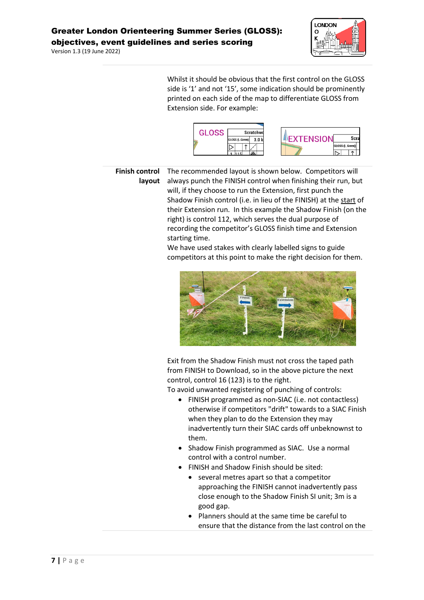Version 1.3 (19 June 2022)



Whilst it should be obvious that the first control on the GLOSS side is '1' and not '15', some indication should be prominently printed on each side of the map to differentiate GLOSS from Extension side. For example:



**Finish control layout** The recommended layout is shown below. Competitors will always punch the FINISH control when finishing their run, but will, if they choose to run the Extension, first punch the Shadow Finish control (i.e. in lieu of the FINISH) at the start of their Extension run. In this example the Shadow Finish (on the right) is control 112, which serves the dual purpose of recording the competitor's GLOSS finish time and Extension starting time.

> We have used stakes with clearly labelled signs to guide competitors at this point to make the right decision for them.



Exit from the Shadow Finish must not cross the taped path from FINISH to Download, so in the above picture the next control, control 16 (123) is to the right.

To avoid unwanted registering of punching of controls:

- FINISH programmed as non-SIAC (i.e. not contactless) otherwise if competitors "drift" towards to a SIAC Finish when they plan to do the Extension they may inadvertently turn their SIAC cards off unbeknownst to them.
- Shadow Finish programmed as SIAC. Use a normal control with a control number.
- FINISH and Shadow Finish should be sited:
	- several metres apart so that a competitor approaching the FINISH cannot inadvertently pass close enough to the Shadow Finish SI unit; 3m is a good gap.
	- Planners should at the same time be careful to ensure that the distance from the last control on the